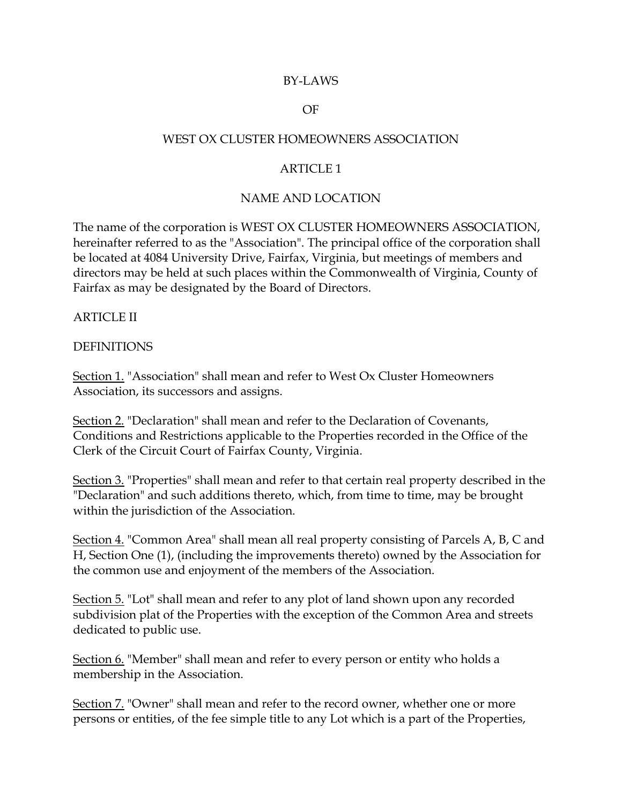#### BY-LAWS

#### OF

#### WEST OX CLUSTER HOMEOWNERS ASSOCIATION

### ARTICLE 1

#### NAME AND LOCATION

The name of the corporation is WEST OX CLUSTER HOMEOWNERS ASSOCIATION, hereinafter referred to as the "Association". The principal office of the corporation shall be located at 4084 University Drive, Fairfax, Virginia, but meetings of members and directors may be held at such places within the Commonwealth of Virginia, County of Fairfax as may be designated by the Board of Directors.

#### ARTICLE II

#### DEFINITIONS

Section 1. "Association" shall mean and refer to West Ox Cluster Homeowners Association, its successors and assigns.

Section 2. "Declaration" shall mean and refer to the Declaration of Covenants, Conditions and Restrictions applicable to the Properties recorded in the Office of the Clerk of the Circuit Court of Fairfax County, Virginia.

Section 3. "Properties" shall mean and refer to that certain real property described in the "Declaration" and such additions thereto, which, from time to time, may be brought within the jurisdiction of the Association.

Section 4. "Common Area" shall mean all real property consisting of Parcels A, B, C and H, Section One (1), (including the improvements thereto) owned by the Association for the common use and enjoyment of the members of the Association.

Section 5. "Lot" shall mean and refer to any plot of land shown upon any recorded subdivision plat of the Properties with the exception of the Common Area and streets dedicated to public use.

Section 6. "Member" shall mean and refer to every person or entity who holds a membership in the Association.

Section 7. "Owner" shall mean and refer to the record owner, whether one or more persons or entities, of the fee simple title to any Lot which is a part of the Properties,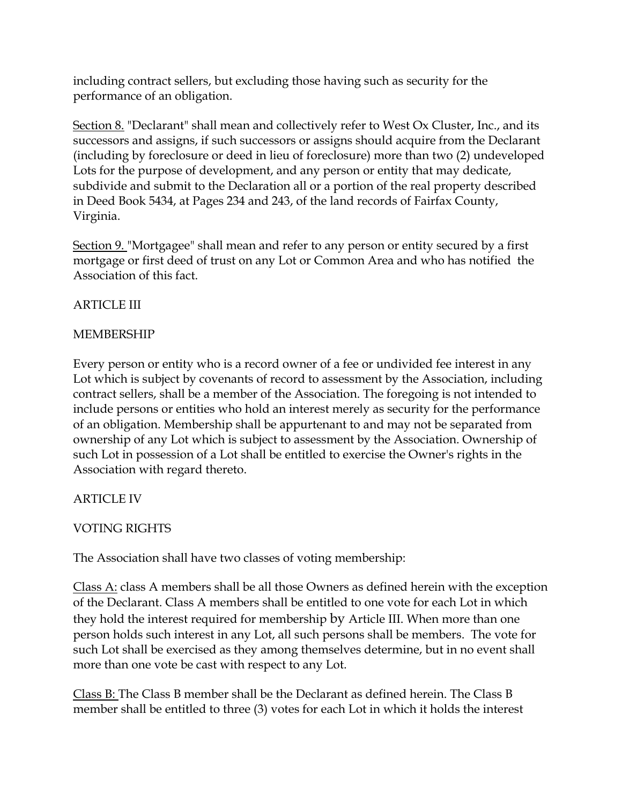including contract sellers, but excluding those having such as security for the performance of an obligation.

Section 8. "Declarant" shall mean and collectively refer to West Ox Cluster, Inc., and its successors and assigns, if such successors or assigns should acquire from the Declarant (including by foreclosure or deed in lieu of foreclosure) more than two (2) undeveloped Lots for the purpose of development, and any person or entity that may dedicate, subdivide and submit to the Declaration all or a portion of the real property described in Deed Book 5434, at Pages 234 and 243, of the land records of Fairfax County, Virginia.

Section 9. "Mortgagee" shall mean and refer to any person or entity secured by a first mortgage or first deed of trust on any Lot or Common Area and who has notified the Association of this fact.

# ARTICLE III

# MEMBERSHIP

Every person or entity who is a record owner of a fee or undivided fee interest in any Lot which is subject by covenants of record to assessment by the Association, including contract sellers, shall be a member of the Association. The foregoing is not intended to include persons or entities who hold an interest merely as security for the performance of an obligation. Membership shall be appurtenant to and may not be separated from ownership of any Lot which is subject to assessment by the Association. Ownership of such Lot in possession of a Lot shall be entitled to exercise the Owner's rights in the Association with regard thereto.

# ARTICLE IV

# VOTING RIGHTS

The Association shall have two classes of voting membership:

Class A: class A members shall be all those Owners as defined herein with the exception of the Declarant. Class A members shall be entitled to one vote for each Lot in which they hold the interest required for membership by Article III. When more than one person holds such interest in any Lot, all such persons shall be members. The vote for such Lot shall be exercised as they among themselves determine, but in no event shall more than one vote be cast with respect to any Lot.

Class B: The Class B member shall be the Declarant as defined herein. The Class B member shall be entitled to three (3) votes for each Lot in which it holds the interest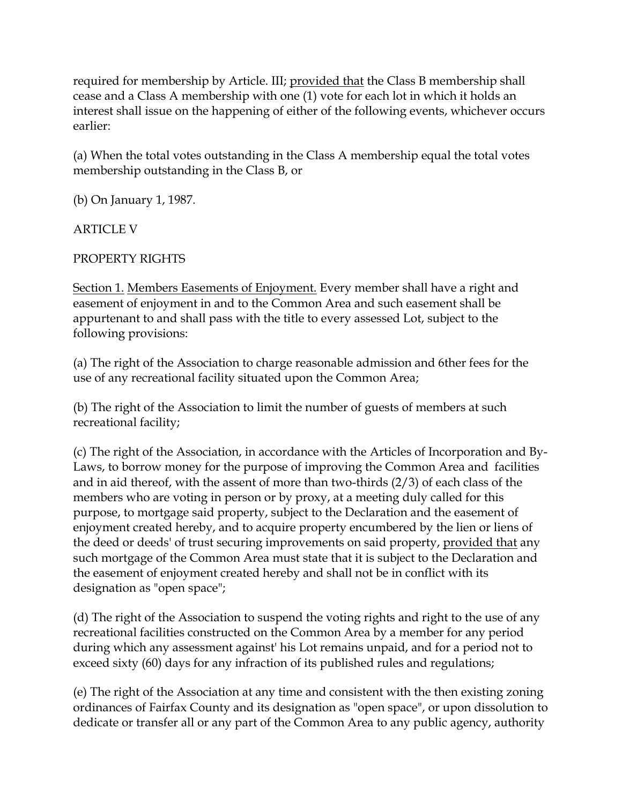required for membership by Article. III; provided that the Class B membership shall cease and a Class A membership with one (1) vote for each lot in which it holds an interest shall issue on the happening of either of the following events, whichever occurs earlier:

(a) When the total votes outstanding in the Class A membership equal the total votes membership outstanding in the Class B, or

(b) On January 1, 1987.

ARTICLE V

PROPERTY RIGHTS

Section 1. Members Easements of Enjoyment. Every member shall have a right and easement of enjoyment in and to the Common Area and such easement shall be appurtenant to and shall pass with the title to every assessed Lot, subject to the following provisions:

(a) The right of the Association to charge reasonable admission and 6ther fees for the use of any recreational facility situated upon the Common Area;

(b) The right of the Association to limit the number of guests of members at such recreational facility;

(c) The right of the Association, in accordance with the Articles of Incorporation and By-Laws, to borrow money for the purpose of improving the Common Area and facilities and in aid thereof, with the assent of more than two-thirds (2/3) of each class of the members who are voting in person or by proxy, at a meeting duly called for this purpose, to mortgage said property, subject to the Declaration and the easement of enjoyment created hereby, and to acquire property encumbered by the lien or liens of the deed or deeds' of trust securing improvements on said property, provided that any such mortgage of the Common Area must state that it is subject to the Declaration and the easement of enjoyment created hereby and shall not be in conflict with its designation as "open space";

(d) The right of the Association to suspend the voting rights and right to the use of any recreational facilities constructed on the Common Area by a member for any period during which any assessment against' his Lot remains unpaid, and for a period not to exceed sixty (60) days for any infraction of its published rules and regulations;

(e) The right of the Association at any time and consistent with the then existing zoning ordinances of Fairfax County and its designation as "open space", or upon dissolution to dedicate or transfer all or any part of the Common Area to any public agency, authority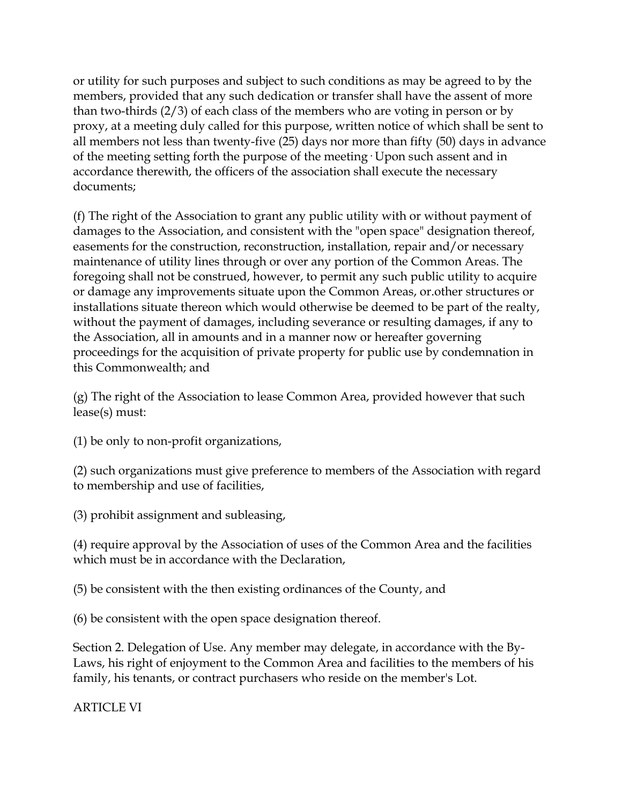or utility for such purposes and subject to such conditions as may be agreed to by the members, provided that any such dedication or transfer shall have the assent of more than two-thirds (2/3) of each class of the members who are voting in person or by proxy, at a meeting duly called for this purpose, written notice of which shall be sent to all members not less than twenty-five (25) days nor more than fifty (50) days in advance of the meeting setting forth the purpose of the meeting· Upon such assent and in accordance therewith, the officers of the association shall execute the necessary documents;

(f) The right of the Association to grant any public utility with or without payment of damages to the Association, and consistent with the "open space" designation thereof, easements for the construction, reconstruction, installation, repair and/or necessary maintenance of utility lines through or over any portion of the Common Areas. The foregoing shall not be construed, however, to permit any such public utility to acquire or damage any improvements situate upon the Common Areas, or.other structures or installations situate thereon which would otherwise be deemed to be part of the realty, without the payment of damages, including severance or resulting damages, if any to the Association, all in amounts and in a manner now or hereafter governing proceedings for the acquisition of private property for public use by condemnation in this Commonwealth; and

(g) The right of the Association to lease Common Area, provided however that such lease(s) must:

(1) be only to non-profit organizations,

(2) such organizations must give preference to members of the Association with regard to membership and use of facilities,

(3) prohibit assignment and subleasing,

(4) require approval by the Association of uses of the Common Area and the facilities which must be in accordance with the Declaration,

(5) be consistent with the then existing ordinances of the County, and

(6) be consistent with the open space designation thereof.

Section 2. Delegation of Use. Any member may delegate, in accordance with the By-Laws, his right of enjoyment to the Common Area and facilities to the members of his family, his tenants, or contract purchasers who reside on the member's Lot.

ARTICLE VI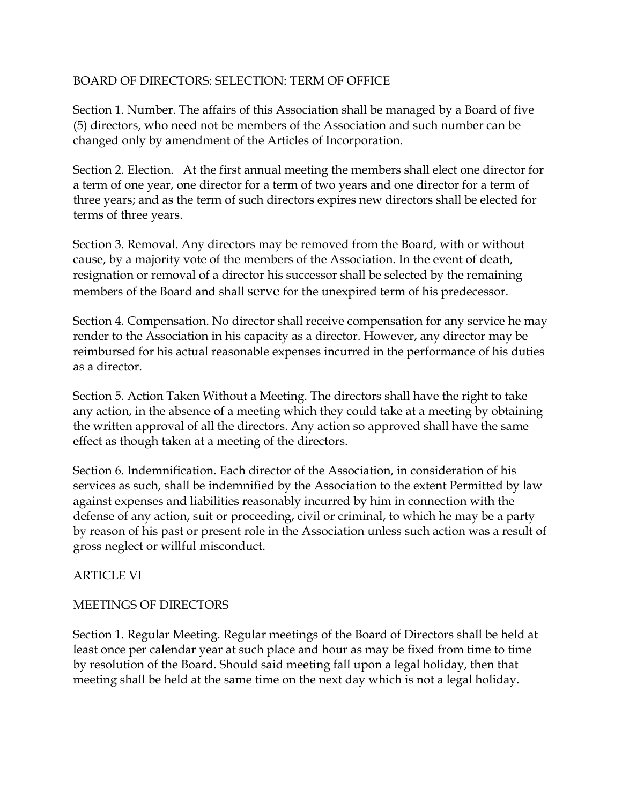## BOARD OF DIRECTORS: SELECTION: TERM OF OFFICE

Section 1. Number. The affairs of this Association shall be managed by a Board of five (5) directors, who need not be members of the Association and such number can be changed only by amendment of the Articles of Incorporation.

Section 2. Election. At the first annual meeting the members shall elect one director for a term of one year, one director for a term of two years and one director for a term of three years; and as the term of such directors expires new directors shall be elected for terms of three years.

Section 3. Removal. Any directors may be removed from the Board, with or without cause, by a majority vote of the members of the Association. In the event of death, resignation or removal of a director his successor shall be selected by the remaining members of the Board and shall serve for the unexpired term of his predecessor.

Section 4. Compensation. No director shall receive compensation for any service he may render to the Association in his capacity as a director. However, any director may be reimbursed for his actual reasonable expenses incurred in the performance of his duties as a director.

Section 5. Action Taken Without a Meeting. The directors shall have the right to take any action, in the absence of a meeting which they could take at a meeting by obtaining the written approval of all the directors. Any action so approved shall have the same effect as though taken at a meeting of the directors.

Section 6. Indemnification. Each director of the Association, in consideration of his services as such, shall be indemnified by the Association to the extent Permitted by law against expenses and liabilities reasonably incurred by him in connection with the defense of any action, suit or proceeding, civil or criminal, to which he may be a party by reason of his past or present role in the Association unless such action was a result of gross neglect or willful misconduct.

## ARTICLE VI

#### MEETINGS OF DIRECTORS

Section 1. Regular Meeting. Regular meetings of the Board of Directors shall be held at least once per calendar year at such place and hour as may be fixed from time to time by resolution of the Board. Should said meeting fall upon a legal holiday, then that meeting shall be held at the same time on the next day which is not a legal holiday.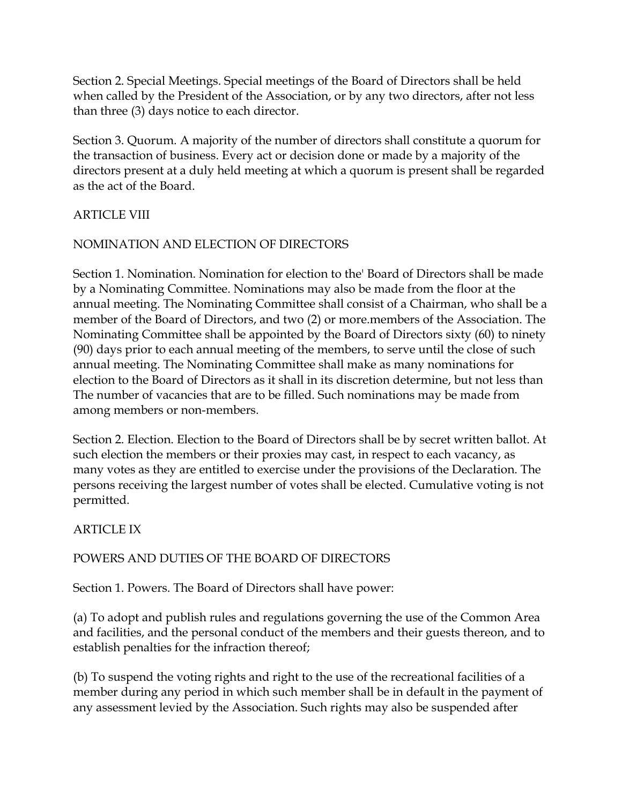Section 2. Special Meetings. Special meetings of the Board of Directors shall be held when called by the President of the Association, or by any two directors, after not less than three (3) days notice to each director.

Section 3. Quorum. A majority of the number of directors shall constitute a quorum for the transaction of business. Every act or decision done or made by a majority of the directors present at a duly held meeting at which a quorum is present shall be regarded as the act of the Board.

# ARTICLE VIII

# NOMINATION AND ELECTION OF DIRECTORS

Section 1. Nomination. Nomination for election to the' Board of Directors shall be made by a Nominating Committee. Nominations may also be made from the floor at the annual meeting. The Nominating Committee shall consist of a Chairman, who shall be a member of the Board of Directors, and two (2) or more.members of the Association. The Nominating Committee shall be appointed by the Board of Directors sixty (60) to ninety (90) days prior to each annual meeting of the members, to serve until the close of such annual meeting. The Nominating Committee shall make as many nominations for election to the Board of Directors as it shall in its discretion determine, but not less than The number of vacancies that are to be filled. Such nominations may be made from among members or non-members.

Section 2. Election. Election to the Board of Directors shall be by secret written ballot. At such election the members or their proxies may cast, in respect to each vacancy, as many votes as they are entitled to exercise under the provisions of the Declaration. The persons receiving the largest number of votes shall be elected. Cumulative voting is not permitted.

# ARTICLE IX

# POWERS AND DUTIES OF THE BOARD OF DIRECTORS

Section 1. Powers. The Board of Directors shall have power:

(a) To adopt and publish rules and regulations governing the use of the Common Area and facilities, and the personal conduct of the members and their guests thereon, and to establish penalties for the infraction thereof;

(b) To suspend the voting rights and right to the use of the recreational facilities of a member during any period in which such member shall be in default in the payment of any assessment levied by the Association. Such rights may also be suspended after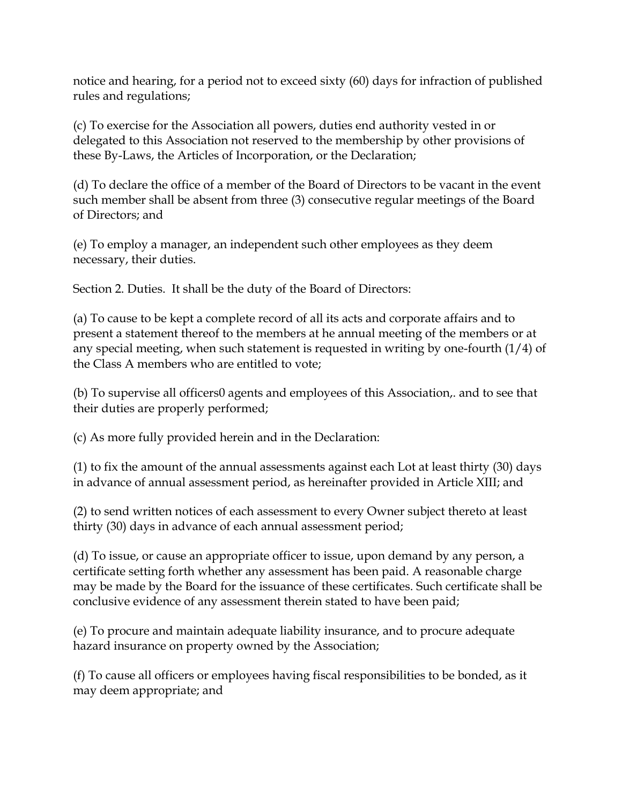notice and hearing, for a period not to exceed sixty (60) days for infraction of published rules and regulations;

(c) To exercise for the Association all powers, duties end authority vested in or delegated to this Association not reserved to the membership by other provisions of these By-Laws, the Articles of Incorporation, or the Declaration;

(d) To declare the office of a member of the Board of Directors to be vacant in the event such member shall be absent from three (3) consecutive regular meetings of the Board of Directors; and

(e) To employ a manager, an independent such other employees as they deem necessary, their duties.

Section 2. Duties. It shall be the duty of the Board of Directors:

(a) To cause to be kept a complete record of all its acts and corporate affairs and to present a statement thereof to the members at he annual meeting of the members or at any special meeting, when such statement is requested in writing by one-fourth  $(1/4)$  of the Class A members who are entitled to vote;

(b) To supervise all officers0 agents and employees of this Association,. and to see that their duties are properly performed;

(c) As more fully provided herein and in the Declaration:

(1) to fix the amount of the annual assessments against each Lot at least thirty (30) days in advance of annual assessment period, as hereinafter provided in Article XIII; and

(2) to send written notices of each assessment to every Owner subject thereto at least thirty (30) days in advance of each annual assessment period;

(d) To issue, or cause an appropriate officer to issue, upon demand by any person, a certificate setting forth whether any assessment has been paid. A reasonable charge may be made by the Board for the issuance of these certificates. Such certificate shall be conclusive evidence of any assessment therein stated to have been paid;

(e) To procure and maintain adequate liability insurance, and to procure adequate hazard insurance on property owned by the Association;

(f) To cause all officers or employees having fiscal responsibilities to be bonded, as it may deem appropriate; and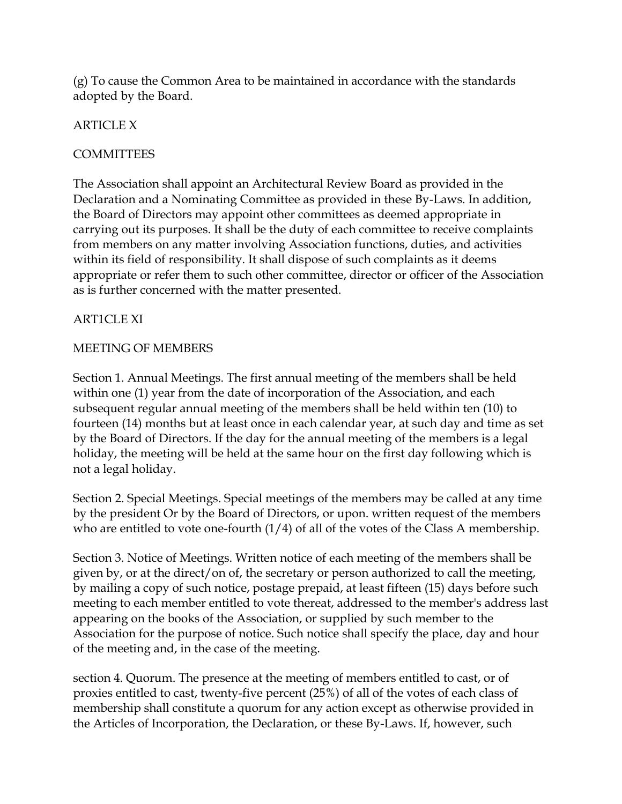(g) To cause the Common Area to be maintained in accordance with the standards adopted by the Board.

# ARTICLE X

# **COMMITTEES**

The Association shall appoint an Architectural Review Board as provided in the Declaration and a Nominating Committee as provided in these By-Laws. In addition, the Board of Directors may appoint other committees as deemed appropriate in carrying out its purposes. It shall be the duty of each committee to receive complaints from members on any matter involving Association functions, duties, and activities within its field of responsibility. It shall dispose of such complaints as it deems appropriate or refer them to such other committee, director or officer of the Association as is further concerned with the matter presented.

## ART1CLE XI

## MEETING OF MEMBERS

Section 1. Annual Meetings. The first annual meeting of the members shall be held within one (1) year from the date of incorporation of the Association, and each subsequent regular annual meeting of the members shall be held within ten (10) to fourteen (14) months but at least once in each calendar year, at such day and time as set by the Board of Directors. If the day for the annual meeting of the members is a legal holiday, the meeting will be held at the same hour on the first day following which is not a legal holiday.

Section 2. Special Meetings. Special meetings of the members may be called at any time by the president Or by the Board of Directors, or upon. written request of the members who are entitled to vote one-fourth  $(1/4)$  of all of the votes of the Class A membership.

Section 3. Notice of Meetings. Written notice of each meeting of the members shall be given by, or at the direct/on of, the secretary or person authorized to call the meeting, by mailing a copy of such notice, postage prepaid, at least fifteen (15) days before such meeting to each member entitled to vote thereat, addressed to the member's address last appearing on the books of the Association, or supplied by such member to the Association for the purpose of notice. Such notice shall specify the place, day and hour of the meeting and, in the case of the meeting.

section 4. Quorum. The presence at the meeting of members entitled to cast, or of proxies entitled to cast, twenty-five percent (25%) of all of the votes of each class of membership shall constitute a quorum for any action except as otherwise provided in the Articles of Incorporation, the Declaration, or these By-Laws. If, however, such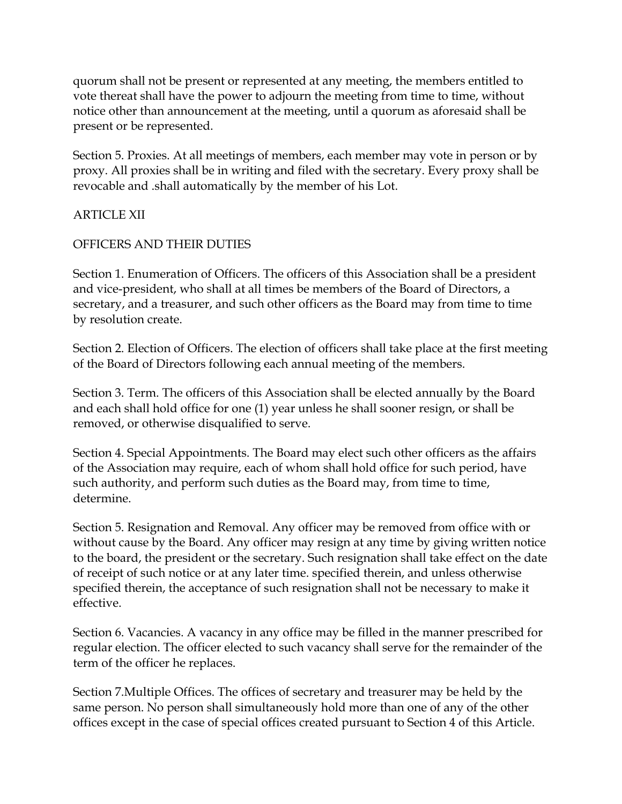quorum shall not be present or represented at any meeting, the members entitled to vote thereat shall have the power to adjourn the meeting from time to time, without notice other than announcement at the meeting, until a quorum as aforesaid shall be present or be represented.

Section 5. Proxies. At all meetings of members, each member may vote in person or by proxy. All proxies shall be in writing and filed with the secretary. Every proxy shall be revocable and .shall automatically by the member of his Lot.

## ARTICLE XII

## OFFICERS AND THEIR DUTIES

Section 1. Enumeration of Officers. The officers of this Association shall be a president and vice-president, who shall at all times be members of the Board of Directors, a secretary, and a treasurer, and such other officers as the Board may from time to time by resolution create.

Section 2. Election of Officers. The election of officers shall take place at the first meeting of the Board of Directors following each annual meeting of the members.

Section 3. Term. The officers of this Association shall be elected annually by the Board and each shall hold office for one (1) year unless he shall sooner resign, or shall be removed, or otherwise disqualified to serve.

Section 4. Special Appointments. The Board may elect such other officers as the affairs of the Association may require, each of whom shall hold office for such period, have such authority, and perform such duties as the Board may, from time to time, determine.

Section 5. Resignation and Removal. Any officer may be removed from office with or without cause by the Board. Any officer may resign at any time by giving written notice to the board, the president or the secretary. Such resignation shall take effect on the date of receipt of such notice or at any later time. specified therein, and unless otherwise specified therein, the acceptance of such resignation shall not be necessary to make it effective.

Section 6. Vacancies. A vacancy in any office may be filled in the manner prescribed for regular election. The officer elected to such vacancy shall serve for the remainder of the term of the officer he replaces.

Section 7.Multiple Offices. The offices of secretary and treasurer may be held by the same person. No person shall simultaneously hold more than one of any of the other offices except in the case of special offices created pursuant to Section 4 of this Article.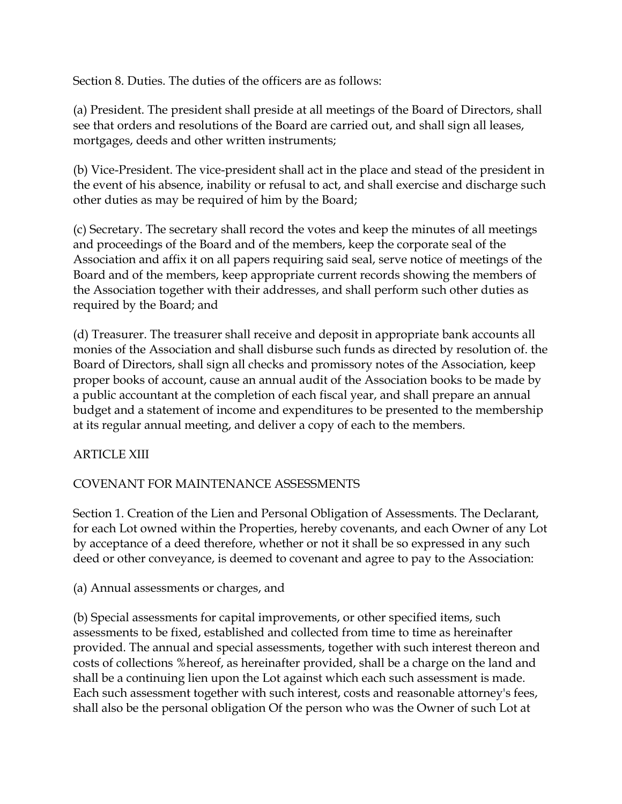Section 8. Duties. The duties of the officers are as follows:

(a) President. The president shall preside at all meetings of the Board of Directors, shall see that orders and resolutions of the Board are carried out, and shall sign all leases, mortgages, deeds and other written instruments;

(b) Vice-President. The vice-president shall act in the place and stead of the president in the event of his absence, inability or refusal to act, and shall exercise and discharge such other duties as may be required of him by the Board;

(c) Secretary. The secretary shall record the votes and keep the minutes of all meetings and proceedings of the Board and of the members, keep the corporate seal of the Association and affix it on all papers requiring said seal, serve notice of meetings of the Board and of the members, keep appropriate current records showing the members of the Association together with their addresses, and shall perform such other duties as required by the Board; and

(d) Treasurer. The treasurer shall receive and deposit in appropriate bank accounts all monies of the Association and shall disburse such funds as directed by resolution of. the Board of Directors, shall sign all checks and promissory notes of the Association, keep proper books of account, cause an annual audit of the Association books to be made by a public accountant at the completion of each fiscal year, and shall prepare an annual budget and a statement of income and expenditures to be presented to the membership at its regular annual meeting, and deliver a copy of each to the members.

## ARTICLE XIII

# COVENANT FOR MAINTENANCE ASSESSMENTS

Section 1. Creation of the Lien and Personal Obligation of Assessments. The Declarant, for each Lot owned within the Properties, hereby covenants, and each Owner of any Lot by acceptance of a deed therefore, whether or not it shall be so expressed in any such deed or other conveyance, is deemed to covenant and agree to pay to the Association:

## (a) Annual assessments or charges, and

(b) Special assessments for capital improvements, or other specified items, such assessments to be fixed, established and collected from time to time as hereinafter provided. The annual and special assessments, together with such interest thereon and costs of collections %hereof, as hereinafter provided, shall be a charge on the land and shall be a continuing lien upon the Lot against which each such assessment is made. Each such assessment together with such interest, costs and reasonable attorney's fees, shall also be the personal obligation Of the person who was the Owner of such Lot at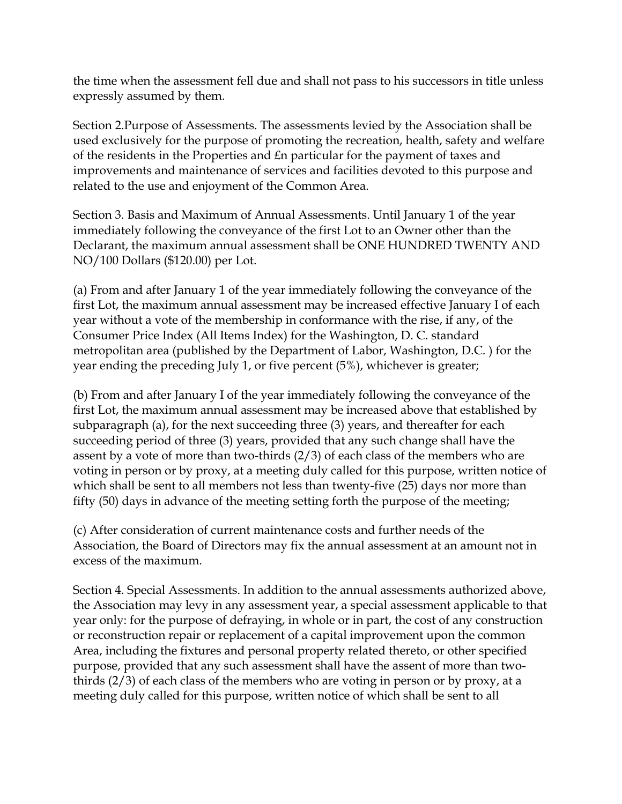the time when the assessment fell due and shall not pass to his successors in title unless expressly assumed by them.

Section 2.Purpose of Assessments. The assessments levied by the Association shall be used exclusively for the purpose of promoting the recreation, health, safety and welfare of the residents in the Properties and £n particular for the payment of taxes and improvements and maintenance of services and facilities devoted to this purpose and related to the use and enjoyment of the Common Area.

Section 3. Basis and Maximum of Annual Assessments. Until January 1 of the year immediately following the conveyance of the first Lot to an Owner other than the Declarant, the maximum annual assessment shall be ONE HUNDRED TWENTY AND NO/100 Dollars (\$120.00) per Lot.

(a) From and after January 1 of the year immediately following the conveyance of the first Lot, the maximum annual assessment may be increased effective January I of each year without a vote of the membership in conformance with the rise, if any, of the Consumer Price Index (All Items Index) for the Washington, D. C. standard metropolitan area (published by the Department of Labor, Washington, D.C. ) for the year ending the preceding July 1, or five percent (5%), whichever is greater;

(b) From and after January I of the year immediately following the conveyance of the first Lot, the maximum annual assessment may be increased above that established by subparagraph (a), for the next succeeding three (3) years, and thereafter for each succeeding period of three (3) years, provided that any such change shall have the assent by a vote of more than two-thirds (2/3) of each class of the members who are voting in person or by proxy, at a meeting duly called for this purpose, written notice of which shall be sent to all members not less than twenty-five (25) days nor more than fifty (50) days in advance of the meeting setting forth the purpose of the meeting;

(c) After consideration of current maintenance costs and further needs of the Association, the Board of Directors may fix the annual assessment at an amount not in excess of the maximum.

Section 4. Special Assessments. In addition to the annual assessments authorized above, the Association may levy in any assessment year, a special assessment applicable to that year only: for the purpose of defraying, in whole or in part, the cost of any construction or reconstruction repair or replacement of a capital improvement upon the common Area, including the fixtures and personal property related thereto, or other specified purpose, provided that any such assessment shall have the assent of more than twothirds (2/3) of each class of the members who are voting in person or by proxy, at a meeting duly called for this purpose, written notice of which shall be sent to all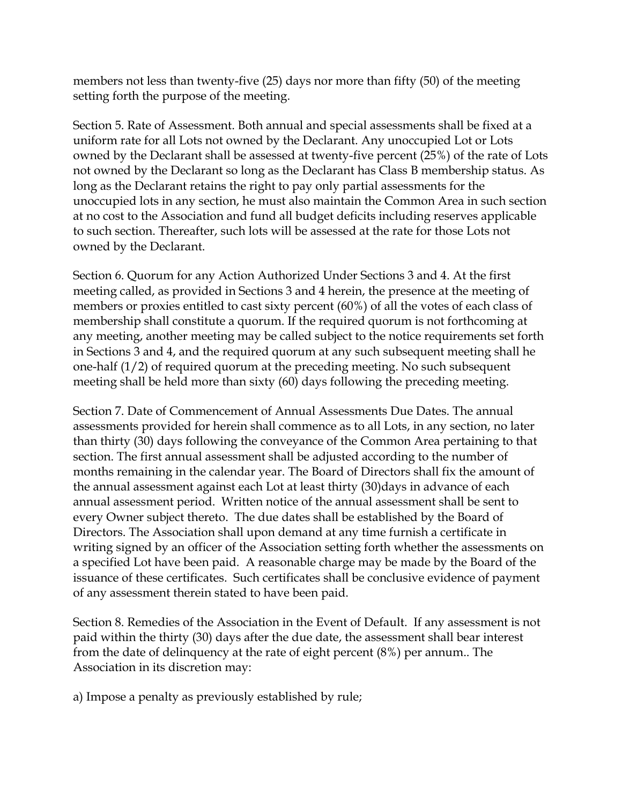members not less than twenty-five (25) days nor more than fifty (50) of the meeting setting forth the purpose of the meeting.

Section 5. Rate of Assessment. Both annual and special assessments shall be fixed at a uniform rate for all Lots not owned by the Declarant. Any unoccupied Lot or Lots owned by the Declarant shall be assessed at twenty-five percent (25%) of the rate of Lots not owned by the Declarant so long as the Declarant has Class B membership status. As long as the Declarant retains the right to pay only partial assessments for the unoccupied lots in any section, he must also maintain the Common Area in such section at no cost to the Association and fund all budget deficits including reserves applicable to such section. Thereafter, such lots will be assessed at the rate for those Lots not owned by the Declarant.

Section 6. Quorum for any Action Authorized Under Sections 3 and 4. At the first meeting called, as provided in Sections 3 and 4 herein, the presence at the meeting of members or proxies entitled to cast sixty percent (60%) of all the votes of each class of membership shall constitute a quorum. If the required quorum is not forthcoming at any meeting, another meeting may be called subject to the notice requirements set forth in Sections 3 and 4, and the required quorum at any such subsequent meeting shall he one-half (1/2) of required quorum at the preceding meeting. No such subsequent meeting shall be held more than sixty (60) days following the preceding meeting.

Section 7. Date of Commencement of Annual Assessments Due Dates. The annual assessments provided for herein shall commence as to all Lots, in any section, no later than thirty (30) days following the conveyance of the Common Area pertaining to that section. The first annual assessment shall be adjusted according to the number of months remaining in the calendar year. The Board of Directors shall fix the amount of the annual assessment against each Lot at least thirty (30)days in advance of each annual assessment period. Written notice of the annual assessment shall be sent to every Owner subject thereto. The due dates shall be established by the Board of Directors. The Association shall upon demand at any time furnish a certificate in writing signed by an officer of the Association setting forth whether the assessments on a specified Lot have been paid. A reasonable charge may be made by the Board of the issuance of these certificates. Such certificates shall be conclusive evidence of payment of any assessment therein stated to have been paid.

Section 8. Remedies of the Association in the Event of Default. If any assessment is not paid within the thirty (30) days after the due date, the assessment shall bear interest from the date of delinquency at the rate of eight percent (8%) per annum.. The Association in its discretion may:

a) Impose a penalty as previously established by rule;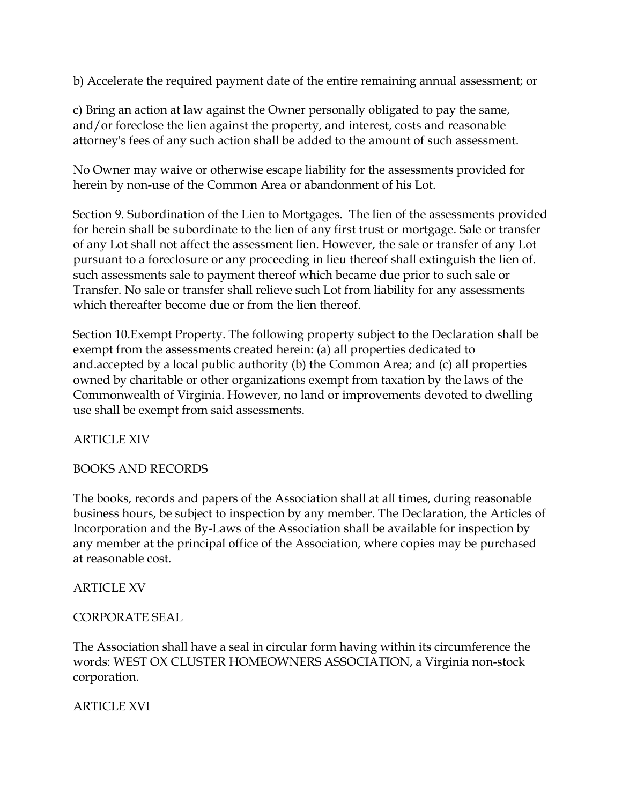b) Accelerate the required payment date of the entire remaining annual assessment; or

c) Bring an action at law against the Owner personally obligated to pay the same, and/or foreclose the lien against the property, and interest, costs and reasonable attorney's fees of any such action shall be added to the amount of such assessment.

No Owner may waive or otherwise escape liability for the assessments provided for herein by non-use of the Common Area or abandonment of his Lot.

Section 9. Subordination of the Lien to Mortgages. The lien of the assessments provided for herein shall be subordinate to the lien of any first trust or mortgage. Sale or transfer of any Lot shall not affect the assessment lien. However, the sale or transfer of any Lot pursuant to a foreclosure or any proceeding in lieu thereof shall extinguish the lien of. such assessments sale to payment thereof which became due prior to such sale or Transfer. No sale or transfer shall relieve such Lot from liability for any assessments which thereafter become due or from the lien thereof.

Section 10.Exempt Property. The following property subject to the Declaration shall be exempt from the assessments created herein: (a) all properties dedicated to and.accepted by a local public authority (b) the Common Area; and (c) all properties owned by charitable or other organizations exempt from taxation by the laws of the Commonwealth of Virginia. However, no land or improvements devoted to dwelling use shall be exempt from said assessments.

ARTICLE XIV

## BOOKS AND RECORDS

The books, records and papers of the Association shall at all times, during reasonable business hours, be subject to inspection by any member. The Declaration, the Articles of Incorporation and the By-Laws of the Association shall be available for inspection by any member at the principal office of the Association, where copies may be purchased at reasonable cost.

#### ARTICLE XV

#### CORPORATE SEAL

The Association shall have a seal in circular form having within its circumference the words: WEST OX CLUSTER HOMEOWNERS ASSOCIATION, a Virginia non-stock corporation.

ARTICLE XVI